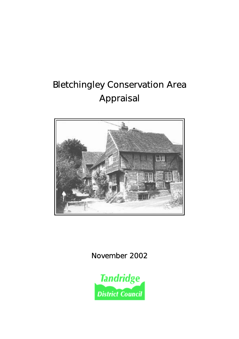## Bletchingley Conservation Area Appraisal



November 2002

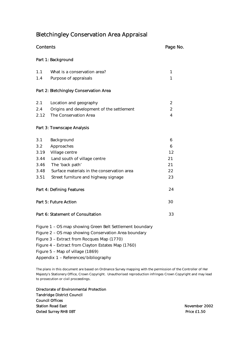#### Bletchingley Conservation Area Appraisal

### Contents Part 1: Background [1.1 What is a conservation area? 1](#page-2-0) 1.4 Purpose of appraisals and the set of the set of the set of the set of the set of the set of the set of the set of the set of the set of the set of the set of the set of the set of the set of the set of the set of the s Part 2: Bletchingley Conservation Area [2.1 Location and geography 2](#page-3-0) 2.12 The Conservation Area **4** Page No. [2.4 Origins and development of the settlement 2](#page-3-0)

#### Part 3: Townscape Analysis

| 3.1                       | Background                                 | 6  |
|---------------------------|--------------------------------------------|----|
| 3.2                       | Approaches                                 | 6  |
| 3.19                      | Village centre                             | 12 |
| 3.44                      | Land south of village centre               | 21 |
| 3.46                      | The 'back path'                            | 21 |
| 3.48                      | Surface materials in the conservation area | 22 |
| 3.51                      | Street furniture and highway signage       | 23 |
| Part 4: Defining Features |                                            | 24 |
| Part 5: Future Action     |                                            | 30 |
|                           |                                            |    |

- [Part 6: Statement of Consultation 33](#page-34-0)
- Figure 1 OS map showing Green Belt Settlement boundary Figure 2 – OS map showing Conservation Area boundary Figure 3 – Extract from Rocques Map (1770) Figure 4 – Extract from Clayton Estates Map (1760) Figure 5 – Map of village (1869) Appendix 1 – References/bibliography

Majesty's Stationery Office, Crown Copyright. Unauthorised reproduction infringes Crown Copyright and may lead<br>to prosecution or civil proceedings. The plans in this document are based on Ordnance Survey mapping with the permission of the Controller of Her

 Directorate of Environmental Protection Tandridge District Council Council Offices Station Road East November 2002 Oxted Surrey RH8 0BT Price £1.50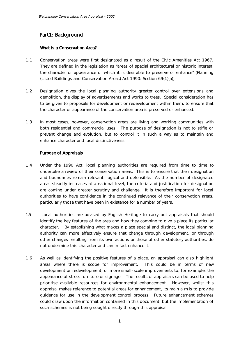#### <span id="page-2-0"></span>Part1: Background

#### What is a Conservation Area?

- 1.1 Conservation areas were first designated as a result of the Civic Amenities Act 1967. They are defined in the legislation as "areas of special architectural or historic interest, the character or appearance of which it is desirable to preserve or enhance" (Planning (Listed Buildings and Conservation Areas) Act 1990: Section 69(1)(a)).
- 1.2 Designation gives the local planning authority greater control over extensions and demolition, the display of advertisements and works to trees. Special consideration has to be given to proposals for development or redevelopment within them, to ensure that the character or appearance of the conservation area is preserved or enhanced.
- 1.3 In most cases, however, conservation areas are living and working communities with both residential and commercial uses. The purpose of designation is not to stifle or prevent change and evolution, but to control it in such a way as to maintain and enhance character and local distinctiveness.

#### Purpose of Appraisals

- 1.4 Under the 1990 Act, local planning authorities are required from time to time to undertake a review of their conservation areas. This is to ensure that their designation and boundaries remain relevant, logical and defensible. As the number of designated areas steadily increases at a national level, the criteria and justification for designation are coming under greater scrutiny and challenge. It is therefore important for local authorities to have confidence in the continued relevance of their conservation areas, particularly those that have been in existence for a number of years.
- 1.5 Local authorities are advised by English Heritage to carry out appraisals that should identify the key features of the area and how they combine to give a place its particular character. By establishing what makes a place special and distinct, the local planning authority can more effectively ensure that change through development, or through other changes resulting from its own actions or those of other statutory authorities, do not undermine this character and can in fact enhance it.
- 1.6 As well as identifying the positive features of a place, an appraisal can also highlight areas where there is scope for improvement. This could be in terms of new development or redevelopment, or more small-scale improvements to, for example, the appearance of street furniture or signage. The results of appraisals can be used to help prioritise available resources for environmental enhancement. However, whilst this appraisal makes reference to potential areas for enhancement, its main aim is to provide guidance for use in the development control process. Future enhancement schemes could draw upon the information contained in this document, but the implementation of such schemes is not being sought directly through this appraisal.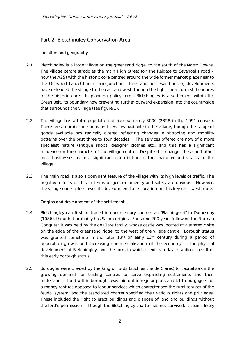#### <span id="page-3-0"></span>Part 2: Bletchingley Conservation Area

#### Location and geography

- 2.1 Bletchingley is a large village on the greensand ridge, to the south of the North Downs. the Outwood Lane/Church Lane junction. Inter and post war housing developments have extended the village to the east and west, though the tight linear form still endures in the historic core. In planning policy terms Bletchingley is a settlement within the The village centre straddles the main High Street (on the Reigate to Sevenoaks road now the A25) with the historic core centred around the wide former market place near to Green Belt, its boundary now preventing further outward expansion into the countryside that surrounds the village (see figure 1).
- $2.2$  There are a number of shops and services available in the village, though the range of goods available has radically altered reflecting changes in shopping and mobility influence on the character of the village centre. Despite this change, these and other The village has a total population of approximately 3000 (2858 in the 1991 census). patterns over the past three to four decades. The services offered are now of a more specialist nature (antique shops, designer clothes etc.) and this has a significant local businesses make a significant contribution to the character and vitality of the village.
- 2.3 The main road is also a dominant feature of the village with its high levels of traffic. The negative effects of this in terms of general amenity and safety are obvious. However, the village nonetheless owes its development to its location on this key east-west route.

#### Origins and development of the settlement

- 2.4 Bletchingley can first be traced in documentary sources as "Blachingelei" in Domesday (1086), though it probably has Saxon origins. For some 200 years following the Norman Conquest it was held by the de Clare family, whose castle was located at a strategic site on the edge of the greensand ridge, to the west of the village centre. Borough status development of Bletchingley, and the form in which it exists today, is a direct result of was granted sometime in the later  $12<sup>th</sup>$  or early  $13<sup>th</sup>$  century during a period of population growth and increasing commercialisation of the economy. The physical this early borough status.
- 2.5 Boroughs were created by the king or lords (such as the de Clares) to capitalise on the growing demand for trading centres to serve expanding settlements and their hinterlands. Land within boroughs was laid out in regular plots and let to burgagers for a money rent (as opposed to labour services which characterised the rural tenures of the feudal system) and the associated charter specified their various rights and privileges. These included the right to erect buildings and dispose of land and buildings without the lord's permission. Though the Bletchingley charter has not survived, it seems likely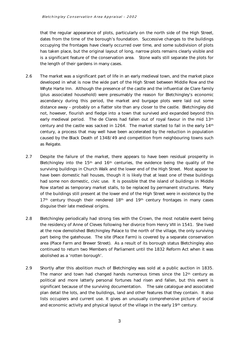that the regular appearance of plots, particularly on the north side of the High Street, dates from the time of the borough's foundation. Successive changes to the buildings occupying the frontages have clearly occurred over time, and some subdivision of plots has taken place, but the original layout of long, narrow plots remains clearly visible and is a significant feature of the conservation area. Stone walls still separate the plots for the length of their gardens in many cases.

- Whyte Harte Inn. Although the presence of the castle and the influential de Clare family ascendancy during this period, the market and burgage plots were laid out some distance away – probably on a flatter site than any closer to the castle. Bletchingley did not, however, flourish and fledge into a town that survived and expanded beyond this early medieval period. The de Clares had fallen out of royal favour in the mid 13th century and the castle was sacked in 1264. The market started to fail in the early 14th century, a process that may well have been accelerated by the reduction in population caused by the Black Death of 1348/49 and competition from neighbouring towns such 2.6 The market was a significant part of life in an early medieval town, and the market place developed in what is now the wide part of the High Street between Middle Row and the (plus associated household) were presumably the reason for Bletchingley's economic as Reigate.
- surviving buildings in Church Walk and the lower end of the High Street. Most appear to Row started as temporary market stalls, to be replaced by permanent structures. Many 2.7 Despite the failure of the market, there appears to have been residual prosperity in Bletchingley into the 15<sup>th</sup> and 16<sup>th</sup> centuries, the evidence being the quality of the have been domestic hall houses, though it is likely that at least one of these buildings had some non domestic, civic use. It is possible that the island of buildings in Middle of the buildings still present at the lower end of the High Street were in existence by the  $17<sup>th</sup>$  century though their rendered  $18<sup>th</sup>$  and  $19<sup>th</sup>$  century frontages in many cases disguise their late medieval origins.
- at the now demolished Bletchingley Palace to the north of the village, the only surviving part being the gatehouse. The site (Place Farm) is covered by a separate conservation area (Place Farm and Brewer Street). As a result of its borough status Bletchingley also 2.8 Bletchingley periodically had strong ties with the Crown, the most notable event being the residency of Anne of Cleves following her divorce from Henry VIII in 1541. She lived continued to return two Members of Parliament until the 1832 Reform Act when it was abolished as a 'rotten borough'.
- 2.9 Shortly after this abolition much of Bletchingley was sold at a public auction in 1835. lists occupiers and current use. It gives an unusually comprehensive picture of social The manor and town had changed hands numerous times since the  $12<sup>th</sup>$  century as political and more latterly personal fortunes had risen and fallen, but this event is significant because of the surviving documentation. The sale catalogue and associated plan detail the lots, and the buildings, land and other features that they contain. It also and economic activity and physical layout of the village in the early 19th century.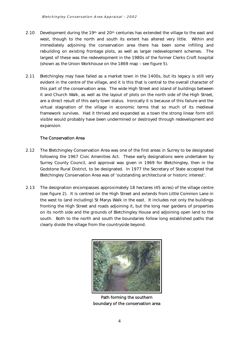- <span id="page-5-0"></span>2.10 Development during the 19th and 20th centuries has extended the village to the east and rebuilding on existing frontage plots, as well as larger redevelopment schemes. The largest of these was the redevelopment in the 1980s of the former Clerks Croft hospital west, though to the north and south its extent has altered very little. Within and immediately adjoining the conservation area there has been some infilling and (shown as the Union Workhouse on the 1869 map – see figure 5).
- 2.11 Bletchingley may have failed as a market town in the 1400s, but its legacy is still very this part of the conservation area. The wide High Street and island of buildings between it and Church Walk, as well as the layout of plots on the north side of the High Street, are a direct result of this early town status. Ironically it is because of this failure and the virtual stagnation of the village in economic terms that so much of its medieval evident in the centre of the village, and it is this that is central to the overall character of framework survives. Had it thrived and expanded as a town the strong linear form still visible would probably have been undermined or destroyed through redevelopment and expansion.

#### The Conservation Area

- Surrey County Council, and approval was given in 1969 for Bletchingley, then in the Godstone Rural District, to be designated. In 1977 the Secretary of State accepted that 2.12 The Bletchingley Conservation Area was one of the first areas in Surrey to be designated following the 1967 Civic Amenities Act. These early designations were undertaken by Bletchingley Conservation Area was of 'outstanding architectural or historic interest'.
- (see figure 2). It is centred on the High Street and extends from Little Common Lane in the west to (and including) St Marys Walk in the east. It includes not only the buildings south. Both to the north and south the boundaries follow long established paths that 2.13 The designation encompasses approximately 18 hectares (45 acres) of the village centre fronting the High Street and roads adjoining it, but the long rear gardens of properties on its north side and the grounds of Bletchingley House and adjoining open land to the clearly divide the village from the countryside beyond.



 Path forming the southern boundary of the conservation area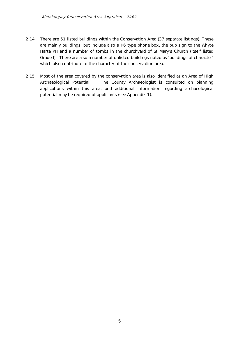- 2.14 There are 51 listed buildings within the Conservation Area (37 separate listings). These are mainly buildings, but include also a K6 type phone box, the pub sign to the Whyte Grade I). There are also a number of unlisted buildings noted as 'buildings of character' which also contribute to the character of the conservation area. Harte PH and a number of tombs in the churchyard of St Mary's Church (itself listed
- which also contribute to the character of the conservation area.<br>2.15 Most of the area covered by the conservation area is also identified as an Area of High Archaeological Potential. The County Archaeologist is consulted on planning applications within this area, and additional information regarding archaeological potential may be required of applicants (see Appendix 1).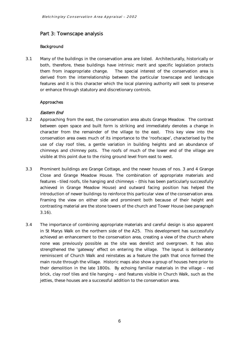#### <span id="page-7-0"></span>Part 3: Townscape analysis

#### Background

3.1 Many of the buildings in the conservation area are listed. Architecturally, historically or both, therefore, these buildings have intrinsic merit and specific legislation protects features and it is this character which the local planning authority will seek to preserve or enhance through statutory and discretionary controls.<br>**Approaches** them from inappropriate change. The special interest of the conservation area is derived from the interrelationship between the particular townscape and landscape

#### Eastern End

- between open space and built form is striking and immediately denotes a change in character from the remainder of the village to the east. This key view into the use of clay roof tiles, a gentle variation in building heights and an abundance of 3.2 Approaching from the east, the conservation area abuts Grange Meadow. The contrast conservation area owes much of its importance to the 'roofscape', characterised by the chimneys and chimney pots. The roofs of much of the lower end of the village are visible at this point due to the rising ground level from east to west.
- 3.3 Prominent buildings are Grange Cottage, and the newer houses of nos. 3 and 4 Grange Close and Grange Meadow House. The combination of appropriate materials and features -tiled roofs, tile hanging and chimneys – (this has been particularly successfully introduction of newer buildings to reinforce this particular view of the conservation area. Framing the view on either side and prominent both because of their height and  $3.16$ ). achieved in Grange Meadow House) and outward facing position has helped the contrasting material are the stone towers of the church and Tower House (see paragraph
- 3.16). 3.4 The importance of combining appropriate materials and careful design is also apparent none was previously possible as the site was derelict and overgrown. It has also strengthened the 'gateway' effect on entering the village. The layout is deliberately brick, clay roof tiles and tile hanging – and features visible in Church Walk, such as the in St Marys Walk on the northern side of the A25. This development has successfully achieved an enhancement to the conservation area, creating a view of the church where reminiscent of Church Walk and reinstates as a feature the path that once formed the main route through the village. Historic maps also show a group of houses here prior to their demolition in the late 1800s. By echoing familiar materials in the village – red jetties, these houses are a successful addition to the conservation area.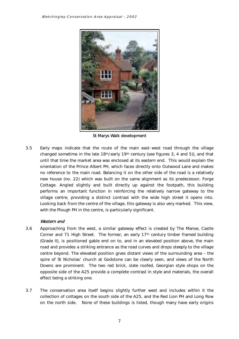

St Marys Walk development

3.5 Early maps indicate that the route of the main east-west road through the village orientation of the Prince Albert PH, which faces directly onto Outwood Lane and makes no reference to the main road. Balancing it on the other side of the road is a relatively new house (no. 22) which was built on the same alignment as its predecessor, Forge with the Plough PH in the centre, is particularly significant. changed sometime in the late  $18<sup>th</sup>/early 19<sup>th</sup> century$  (see figures 3, 4 and 5)), and that until that time the market area was enclosed at its eastern end. This would explain the Cottage. Angled slightly and built directly up against the footpath, this building performs an important function in reinforcing the relatively narrow gateway to the village centre, providing a distinct contrast with the wide high street it opens into. Looking back from the centre of the village, this gateway is also very marked. This view,

#### Western end

- road and provides a striking entrance as the road curves and drops steeply to the village spire of St Nicholas' church at Godstone can be clearly seen, and views of the North Downs are prominent. The two red brick, slate roofed, Georgian style shops on the opposite side of the A25 provide a complete contrast in style and materials, the overall 3.6 Approaching from the west, a similar gateway effect is created by The Manse, Castle Corner and 71 High Street. The former, an early 17th century timber framed building (Grade II), is positioned gable end on to, and in an elevated position above, the main centre beyond. The elevated position gives distant views of the surrounding area – the effect being a striking one.
- 3.7 The conservation area itself begins slightly further west and includes within it the collection of cottages on the south side of the A25, and the Red Lion PH and Long Row on the north side. None of these buildings is listed, though many have early origins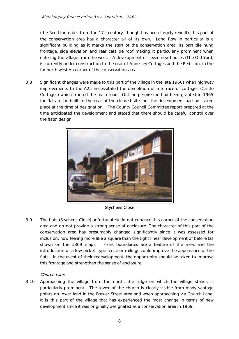significant building as it marks the start of the conservation area, its part tile hung frontage, side elevation and rear catslide roof making it particularly prominent when (the Red Lion dates from the 17th century, though has been largely rebuilt), this part of the conservation area has a character all of its own. Long Row in particular is a entering the village from the west. A development of seven new houses (The Old Yard) is currently under construction to the rear of Annesley Cottages and the Red Lion, in the far north western corner of the conservation area.

 3.8 Significant changes were made to this part of the village in the late 1960s when highway for flats to be built to the rear of the cleared site, but the development had not taken time anticipated the development and stated that there should be careful control over improvements to the A25 necessitated the demolition of a terrace of cottages (Castle Cottages) which fronted the main road. Outline permission had been granted in 1965 place at the time of designation. The County Council Committee report prepared at the the flats' design.



Stychens Close

 area and do not provide a strong sense of enclosure. The character of this part of the inclusion, now feeling more like a square than the tight linear development of before (as shown on the 1869 map). introduction of a low picket-type fence or railings could improve the appearance of the 3.9 The flats (Stychens Close) unfortunately do not enhance this corner of the conservation conservation area has presumably changed significantly since it was assessed for Front boundaries are a feature of the area, and the flats. In the event of their redevelopment, the opportunity should be taken to improve this frontage and strengthen the sense of enclosure.

#### Church Lane

 3.10 Approaching the village from the north, the ridge on which the village stands is particularly prominent. The tower of the church is clearly visible from many vantage points on lower land in the Brewer Street area and when approaching via Church Lane. It is this part of the village that has experienced the most change in terms of new development since it was originally designated as a conservation area in 1969.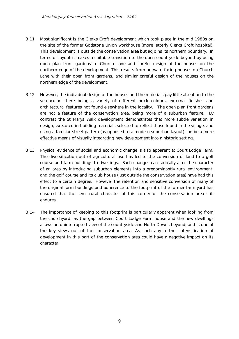- 3.11 Most significant is the Clerks Croft development which took place in the mid 1980s on terms of layout it makes a suitable transition to the open countryside beyond by using open plan front gardens to Church Lane and careful design of the houses on the Lane with their open front gardens, and similar careful design of the houses on the the site of the former Godstone Union workhouse (more latterly Clerks Croft hospital). This development is outside the conservation area but adjoins its northern boundary. In northern edge of the development. This results from outward facing houses on Church northern edge of the development.
- 3.12 However, the individual design of the houses and the materials pay little attention to the vernacular, there being a variety of different brick colours, external finishes and architectural features not found elsewhere in the locality. The open plan front gardens contrast the St Marys Walk development demonstrates that more subtle variation in design, executed in building materials selected to reflect those found in the village, and using a familiar street pattern (as opposed to a modern suburban layout) can be a more are not a feature of the conservation area, being more of a suburban feature. By effective means of visually integrating new development into a historic setting.
- 3.13 Physical evidence of social and economic change is also apparent at Court Lodge Farm. The diversification out of agricultural use has led to the conversion of land to a golf course and farm buildings to dwellings. Such changes can radically alter the character and the golf course and its club house (just outside the conservation area) have had this effect to a certain degree. However the retention and sensitive conversion of many of the original farm buildings and adherence to the footprint of the former farm yard has ensured that the semi rural character of this corner of the conservation area still of an area by introducing suburban elements into a predominantly rural environment, endures.
- $3.14$  the churchyard, as the gap between Court Lodge Farm house and the new dwellings the key views out of the conservation area. As such any further intensification of The importance of keeping to this footprint is particularly apparent when looking from allows an uninterrupted view of the countryside and North Downs beyond, and is one of development in this part of the conservation area could have a negative impact on its character.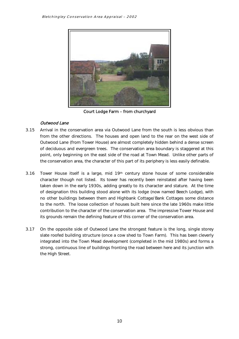

Court Lodge Farm – from churchyard

#### Outwood Lane

- 3.15 Arrival in the conservation area via Outwood Lane from the south is less obvious than Outwood Lane (from Tower House) are almost completely hidden behind a dense screen point, only beginning on the east side of the road at Town Mead. Unlike other parts of from the other directions. The houses and open land to the rear on the west side of of deciduous and evergreen trees. The conservation area boundary is staggered at this the conservation area, the character of this part of its periphery is less easily definable.
- 3.16 Tower House itself is a large, mid 19th century stone house of some considerable character though not listed. Its tower has recently been reinstated after having been taken down in the early 1930s, adding greatly to its character and stature. At the time of designation this building stood alone with its lodge (now named Beech Lodge), with no other buildings between them and Highbank Cottage/Bank Cottages some distance to the north. The loose collection of houses built here since the late 1960s make little contribution to the character of the conservation area. The impressive Tower House and its grounds remain the defining feature of this corner of the conservation area.
- 3.17 On the opposite side of Outwood Lane the strongest feature is the long, single storey slate roofed building structure (once a cow shed to Town Farm). This has been cleverly integrated into the Town Mead development (completed in the mid 1980s) and forms a strong, continuous line of buildings fronting the road between here and its junction with the High Street.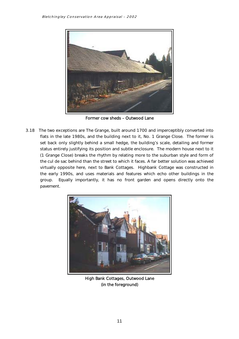

Former cow sheds – Outwood Lane

 flats in the late 1980s, and the building next to it, No. 1 Grange Close. The former is set back only slightly behind a small hedge, the building's scale, detailing and former status entirely justifying its position and subtle enclosure. The modern house next to it (1 Grange Close) breaks the rhythm by relating more to the suburban style and form of 3.18 The two exceptions are The Grange, built around 1700 and imperceptibly converted into the cul de sac behind than the street to which it faces. A far better solution was achieved virtually opposite here, next to Bank Cottages. Highbank Cottage was constructed in the early 1990s, and uses materials and features which echo other buildings in the group. Equally importantly, it has no front garden and opens directly onto the pavement.



 High Bank Cottages, Outwood Lane (in the foreground)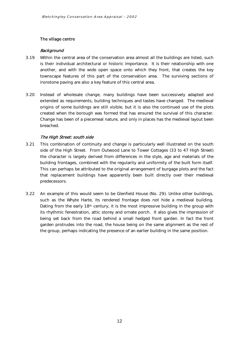#### <span id="page-13-0"></span>The village centre

#### **Background**

- $3.19$ Within the central area of the conservation area almost all the buildings are listed, such is their individual architectural or historic importance. It is their relationship with one another, and with the wide open space onto which they front, that creates the key townscape features of this part of the conservation area. The surviving sections of ironstone paving are also a key feature of this central area.
- created when the borough was formed that has ensured the survival of this character. Change has been of a piecemeal nature, and only in places has the medieval layout been 3.20 Instead of wholesale change, many buildings have been successively adapted and extended as requirements, building techniques and tastes have changed. The medieval origins of some buildings are still visible, but it is also the continued use of the plots breached.

#### The High Street: south side

- $3.21$  side of the High Street. From Outwood Lane to Tower Cottages (33 to 47 High Street) building frontages, combined with the regularity and uniformity of the built form itself. This combination of continuity and change is particularly well illustrated on the south the character is largely derived from differences in the style, age and materials of the This can perhaps be attributed to the original arrangement of burgage plots and the fact that replacement buildings have apparently been built directly over their medieval predecessors.
- its rhythmic fenestration, attic storey and ornate porch. It also gives the impression of 3.22 An example of this would seem to be Glenfield House (No. 29). Unlike other buildings, such as the Whyte Harte, its rendered frontage does not hide a medieval building. Dating from the early 18<sup>th</sup> century, it is the most impressive building in the group with being set back from the road behind a small hedged front garden. In fact the front garden protrudes into the road, the house being on the same alignment as the rest of the group, perhaps indicating the presence of an earlier building in the same position.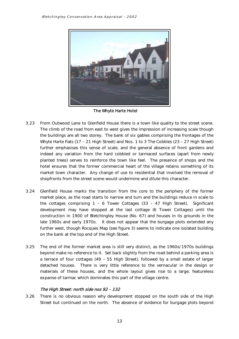

The Whyte Harte Hotel

- $3.23$  Whyte Harte flats (17 – 21 High Street) and Nos. 1 to 3 The Cobbles (23 – 27 High Street) hotel ensures that the former commercial heart of the village retains something of its market town character. Any change of use to residential that involved the removal of From Outwood Lane to Glenfield House there is a town like quality to the street scene. The climb of the road from east to west gives the impression of increasing scale though the buildings are all two storey. The bank of six gables comprising the frontages of the further emphasises this sense of scale, and the general absence of front gardens and indeed any variation from the hard cobbled or tarmaced surfaces (apart from newly planted trees) serves to reinforce the town like feel. The presence of shops and the shopfronts from the street scene would undermine and dilute this character.
- market place, as the road starts to narrow and turn and the buildings reduce in scale to the cottages comprising 1 – 6 Tower Cottages (33 – 47 High Street). Significant development may have stopped at the last cottage (6 Tower Cottages) until the construction in 1900 of Bletchingley House (No. 67) and houses in its grounds in the late 1960s and early 1970s. It does not appear that the burgage plots extended any 3.24 Glenfield House marks the transition from the core to the periphery of the former further west, though Rocques Map (see figure 3) seems to indicate one isolated building on the bank at the top end of the High Street.
- 3.25 The end of the former market area is still very distinct, as the 1960s/1970s buildings a terrace of four cottages (49 – 55 High Street), followed by a small estate of larger detached houses. There is very little reference to the vernacular in the design or beyond make no reference to it. Set back slightly from the road behind a parking area is materials of these houses, and the whole layout gives rise to a large, featureless expanse of tarmac which dominates this part of the village centre.

#### The High Street: north side nos 92 – 132

3.26 There is no obvious reason why development stopped on the south side of the High Street but continued on the north. The absence of evidence for burgage plots beyond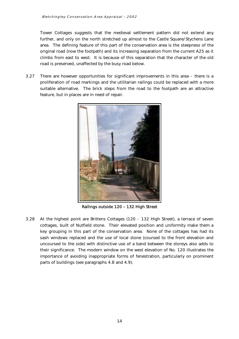Tower Cottages suggests that the medieval settlement pattern did not extend any further, and only on the north stretched up almost to the Castle Square/Stychens Lane original road (now the footpath) and its increasing separation from the current A25 as it climbs from east to west. It is because of this separation that the character of the old area. The defining feature of this part of the conservation area is the steepness of the road is preserved, unaffected by the busy road below.

3.27 There are however opportunities for significant improvements in this area - there is a proliferation of road markings and the utilitarian railings could be replaced with a more suitable alternative. The brick steps from the road to the footpath are an attractive feature, but in places are in need of repair.



Railings outside 120 – 132 High Street

 3.28 At the highest point are Brittens Cottages (120 - 132 High Street), a terrace of seven sash windows replaced and the use of local stone (coursed to the front elevation and their significance. The modern window on the west elevation of No. 120 illustrates the importance of avoiding inappropriate forms of fenestration, particularly on prominent cottages, built of Nutfield stone. Their elevated position and uniformity make them a key grouping in this part of the conservation area. None of the cottages has had its uncoursed to the side) with distinctive use of a band between the storeys also adds to parts of buildings (see paragraphs 4.8 and 4.9).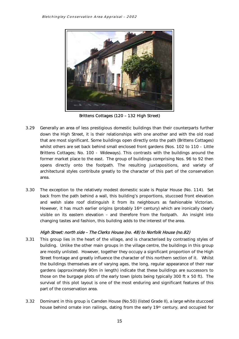

Brittens Cottages (120 – 132 High Street)

- that are most significant. Some buildings open directly onto the path (Brittens Cottages) Brittens Cottages; No. 100 - Wideways). This contrasts with the buildings around the architectural styles contribute greatly to the character of this part of the conservation 3.29 Generally an area of less prestigious domestic buildings than their counterparts further down the High Street, it is their relationships with one another and with the old road whilst others are set back behind small enclosed front gardens (Nos. 102 to 110 - Little former market place to the east. The group of buildings comprising Nos. 96 to 92 then opens directly onto the footpath. The resulting juxtapositions, and variety of area.
- 3.30 The exception to the relatively modest domestic scale is Poplar House (No. 114). Set visible on its eastern elevation – and therefore from the footpath. An insight into back from the path behind a wall, this building's proportions, stuccoed front elevation and welsh slate roof distinguish it from its neighbours as fashionable Victorian. However, it has much earlier origins (probably 16<sup>th</sup> century) which are ironically clearly changing tastes and fashion, this building adds to the interest of the area.

#### High Street: north side – The Clerks House (no. 48) to Norfolk House (no.82)

- 3.31 This group lies in the heart of the village, and is characterised by contrasting styles of building. Unlike the other main groups in the village centre, the buildings in this group are mostly unlisted. However, together they occupy a significant proportion of the High Street frontage and greatly influence the character of this northern section of it. Whilst the buildings themselves are of varying ages, the long, regular appearance of their rear gardens (approximately 90m in length) indicate that these buildings are successors to those on the burgage plots of the early town (plots being typically 300 ft x 50 ft). The survival of this plot layout is one of the most enduring and significant features of this part of the conservation area.
- 3.32 Dominant in this group is Camden House (No.50) (listed Grade II), a large white stuccoed house behind ornate iron railings, dating from the early 19th century, and occupied for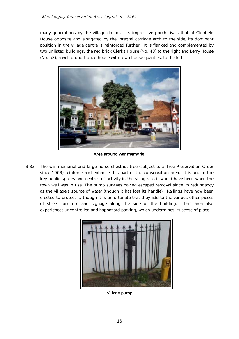position in the village centre is reinforced further. It is flanked and complemented by two unlisted buildings, the red brick Clerks House (No. 48) to the right and Berry House many generations by the village doctor. Its impressive porch rivals that of Glenfield House opposite and elongated by the integral carriage arch to the side, its dominant (No. 52), a well proportioned house with town house qualities, to the left.



Area around war memorial

 since 1963) reinforce and enhance this part of the conservation area. It is one of the as the village's source of water (though it has lost its handle). Railings have now been 3.33 The war memorial and large horse chestnut tree (subject to a Tree Preservation Order key public spaces and centres of activity in the village, as it would have been when the town well was in use. The pump survives having escaped removal since its redundancy erected to protect it, though it is unfortunate that they add to the various other pieces of street furniture and signage along the side of the building. This area also experiences uncontrolled and haphazard parking, which undermines its sense of place.



Village pump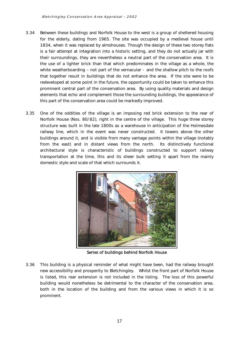- $3.34$  is a fair attempt at integration into a historic setting, and they do not actually jar with their surroundings, they are nevertheless a neutral part of the conservation area. It is the use of a lighter brick than that which predominates in the village as a whole, the white weatherboarding – not part of the vernacular - and the shallow pitch to the roofs that together result in buildings that do not enhance the area. If the site were to be redeveloped at some point in the future, the opportunity could be taken to enhance this prominent central part of the conservation area. By using quality materials and design elements that echo and complement those the surrounding buildings, the appearance of Between these buildings and Norfolk House to the west is a group of sheltered housing for the elderly, dating from 1965. The site was occupied by a medieval house until 1834, when it was replaced by almshouses. Though the design of these two storey flats this part of the conservation area could be markedly improved.
- 3.35 One of the oddities of the village is an imposing red brick extension to the rear of Norfolk House (Nos. 80/82), right in the centre of the village. This huge three storey railway line, which in the event was never constructed. It towers above the other buildings around it, and is visible from many vantage points within the village (notably from the east) and in distant views from the north. Its distinctively functional transportation at the time, this and its sheer bulk setting it apart from the mainly structure was built in the late 1800s as a warehouse in anticipation of the Holmesdale architectural style is characteristic of buildings constructed to support railway domestic style and scale of that which surrounds it.



Series of buildings behind Norfolk House

 new accessibility and prosperity to Bletchingley. Whilst the front part of Norfolk House is listed, this rear extension is not included in the listing. The loss of this powerful both in the location of the building and from the various views in which it is so 3.36 This building is a physical reminder of what might have been, had the railway brought building would nonetheless be detrimental to the character of the conservation area, prominent.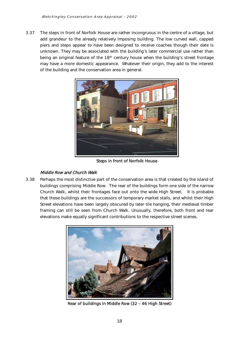$3.37$  unknown. They may be associated with the building's later commercial use rather than being an original feature of the 18th century house when the building's street frontage may have a more domestic appearance. Whatever their origin, they add to the interest The steps in front of Norfolk House are rather incongruous in the centre of a village, but add grandeur to the already relatively imposing building. The low curved wall, capped piers and steps appear to have been designed to receive coaches though their date is of the building and the conservation area in general.



Steps in front of Norfolk House

#### Middle Row and Church Walk

 3.38 Perhaps the most distinctive part of the conservation area is that created by the island of buildings comprising Middle Row. The rear of the buildings form one side of the narrow Church Walk, whilst their frontages face out onto the wide High Street. It is probable that these buildings are the successors of temporary market stalls, and whilst their High Street elevations have been largely obscured by later tile hanging, their medieval timber framing can still be seen from Church Walk. Unusually, therefore, both front and rear elevations make equally significant contributions to the respective street scenes.



Rear of buildings in Middle Row (32 – 46 High Street)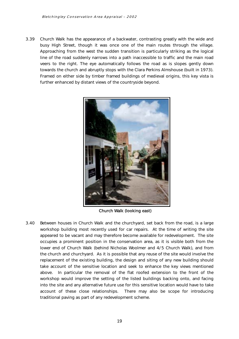3.39 Church Walk has the appearance of a backwater, contrasting greatly with the wide and Approaching from the west the sudden transition is particularly striking as the logical veers to the right. The eye automatically follows the road as is slopes gently down towards the church and abruptly stops with the Clara Perkins Almshouse (built in 1973). busy High Street, though it was once one of the main routes through the village. line of the road suddenly narrows into a path inaccessible to traffic and the main road Framed on either side by timber framed buildings of medieval origins, this key vista is further enhanced by distant views of the countryside beyond.



Church Walk (looking east)

 3.40 Between houses in Church Walk and the churchyard, set back from the road, is a large appeared to be vacant and may therefore become available for redevelopment. The site occupies a prominent position in the conservation area, as it is visible both from the the church and churchyard. As it is possible that any reuse of the site would involve the take account of the sensitive location and seek to enhance the key views mentioned into the site and any alternative future use for this sensitive location would have to take workshop building most recently used for car repairs. At the time of writing the site lower end of Church Walk (behind Nicholas Woolmer and 4/5 Church Walk), and from replacement of the existing building, the design and siting of any new building should above. In particular the removal of the flat roofed extension to the front of the workshop would improve the setting of the listed buildings backing onto, and facing account of these close relationships. There may also be scope for introducing traditional paving as part of any redevelopment scheme.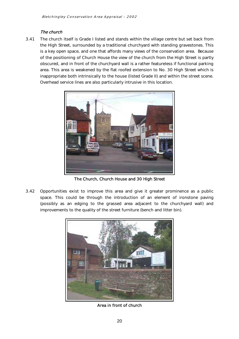#### The church

3.41 The church itself is Grade I listed and stands within the village centre but set back from the High Street, surrounded by a traditional churchyard with standing gravestones. This obscured, and in front of the churchyard wall is a rather featureless if functional parking area. This area is weakened by the flat roofed extension to No. 30 High Street which is is a key open space, and one that affords many views of the conservation area. Because of the positioning of Church House the view of the church from the High Street is partly inappropriate both intrinsically to the house (listed Grade II) and within the street scene. Overhead service lines are also particularly intrusive in this location.



The Church, Church House and 30 High Street

 3.42 Opportunities exist to improve this area and give it greater prominence as a public space. This could be through the introduction of an element of ironstone paving (possibly as an edging to the grassed area adjacent to the churchyard wall) and improvements to the quality of the street furniture (bench and litter bin).



Area in front of church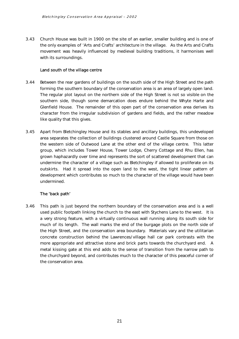<span id="page-22-0"></span> $3.43$  the only examples of 'Arts and Crafts' architecture in the village. As the Arts and Crafts movement was heavily influenced by medieval building traditions, it harmonises well 3.43 Church House was built in 1900 on the site of an earlier, smaller building and is one of with its surroundings.

#### Land south of the village centre

- 3.44 Between the rear gardens of buildings on the south side of the High Street and the path forming the southern boundary of the conservation area is an area of largely open land. The regular plot layout on the northern side of the High Street is not so visible on the like quality that this gives. southern side, though some demarcation does endure behind the Whyte Harte and Glenfield House. The remainder of this open part of the conservation area derives its character from the irregular subdivision of gardens and fields, and the rather meadow
- area separates the collection of buildings clustered around Castle Square from those on grown haphazardly over time and represents the sort of scattered development that can undermine the character of a village such as Bletchingley if allowed to proliferate on its outskirts. Had it spread into the open land to the west, the tight linear pattern of undermined. 3.45 Apart from Bletchingley House and its stables and ancillary buildings, this undeveloped the western side of Outwood Lane at the other end of the village centre. This latter group, which includes Tower House, Tower Lodge, Cherry Cottage and Rhu Ellen, has development which contributes so much to the character of the village would have been

# undermined.<br>**The 'back path'**

 3.46 This path is just beyond the northern boundary of the conservation area and is a well used public footpath linking the church to the east with Stychens Lane to the west. It is much of its length. The wall marks the end of the burgage plots on the north side of the High Street, and the conservation area boundary. Materials vary and the utilitarian concrete construction behind the Lawrences/village hall car park contrasts with the more appropriate and attractive stone and brick parts towards the churchyard end. A metal kissing gate at this end adds to the sense of transition from the narrow path to the churchyard beyond, and contributes much to the character of this peaceful corner of a very strong feature, with a virtually continuous wall running along its south side for the conservation area.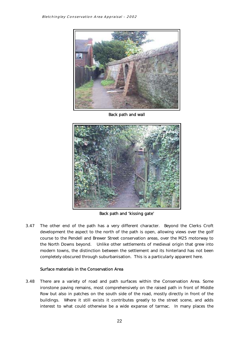<span id="page-23-0"></span>

Back path and wall



Back path and 'kissing gate'

 course to the Pendell and Brewer Street conservation areas, over the M25 motorway to the North Downs beyond. Unlike other settlements of medieval origin that grew into modern towns, the distinction between the settlement and its hinterland has not been 3.47 The other end of the path has a very different character. Beyond the Clerks Croft development the aspect to the north of the path is open, allowing views over the golf completely obscured through suburbanisation. This is a particularly apparent here.

#### Surface materials in the Conservation Area

 ironstone paving remains, most comprehensively on the raised path in front of Middle Row but also in patches on the south side of the road, mostly directly in front of the buildings. Where it still exists it contributes greatly to the street scene, and adds 3.48 There are a variety of road and path surfaces within the Conservation Area. Some interest to what could otherwise be a wide expanse of tarmac. In many places the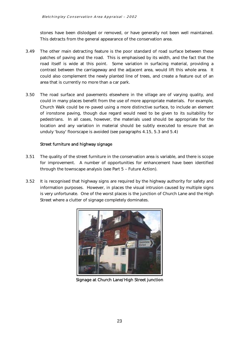<span id="page-24-0"></span>stones have been dislodged or removed, or have generally not been well maintained.<br>This detracts from the general appearance of the conservation area.

- patches of paving and the road. This is emphasised by its width, and the fact that the road itself is wide at this point. Some variation in surfacing material, providing a contrast between the carriageway and the adjacent area, would lift this whole area. It 3.49 The other main detracting feature is the poor standard of road surface between these could also complement the newly planted line of trees, and create a feature out of an area that is currently no more than a car park.
- 3.50 The road surface and pavements elsewhere in the village are of varying quality, and Church Walk could be re-paved using a more distinctive surface, to include an element of ironstone paving, though due regard would need to be given to its suitability for location and any variation in material should be subtly executed to ensure that an could in many places benefit from the use of more appropriate materials. For example, pedestrians. In all cases, however, the materials used should be appropriate for the unduly 'busy' floorscape is avoided (see paragraphs 4.15, 5.3 and 5.4)

#### Street furniture and highway signage

- 3.51 The quality of the street furniture in the conservation area is variable, and there is scope for improvement. A number of opportunities for enhancement have been identified through the townscape analysis (see Part 5 – Future Action).
- $3.52$  information purposes. However, in places the visual intrusion caused by multiple signs It is recognised that highway signs are required by the highway authority for safety and is very unfortunate. One of the worst places is the junction of Church Lane and the High Street where a clutter of signage completely dominates.



Signage at Church Lane/High Street junction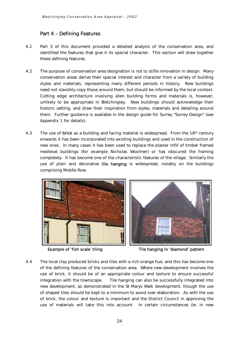#### <span id="page-25-0"></span>Part 4 – Defining Features

- 4.1 Part 3 of this document provided a detailed analysis of the conservation area, and identified the features that give it its special character. This section will draw together these defining features.
- need not slavishly copy those around them, but should be informed by the local context. historic setting, and draw their inspiration from styles, materials and detailing around 4.2 The purpose of conservation area designation is not to stifle innovation in design. Many conservation areas derive their special interest and character from a variety of building styles and materials, representing many different periods in history. New buildings Cutting edge architecture involving alien building forms and materials is, however, unlikely to be appropriate in Bletchingley. New buildings should acknowledge their them. Further guidance is available in the design guide for Surrey "Surrey Design" (see Appendix 1 for details).
- 4.3 The use of **brick** as a building and facing material is widespread. From the 18<sup>th</sup> century completely. It has become one of the characteristic features of the village. Similarly the use of plain and decorative **tile hanging** is widespread, notably on the buildings onwards it has been incorporated into existing buildings and used in the construction of new ones. In many cases it has been used to replace the plaster infill of timber framed medieval buildings (for example Nicholas Woolmer) or has obscured the framing comprising Middle Row.





Example of 'fish scale' tiling Tile hanging in 'diamond' pattern

 of brick, the colour and texture is important and the District Council in approving the use of materials will take this into account. In certain circumstances (ie. in new 4.4 The local clay produced bricks and tiles with a rich orange hue, and this has become one of the defining features of the conservation area. Where new development involves the use of brick, it should be of an appropriate colour and texture to ensure successful integration with the townscape. Tile hanging can also be successfully integrated into new development, as demonstrated in the St Marys Walk development, though the use of shaped tiles should be kept to a minimum to avoid over elaboration. As with the use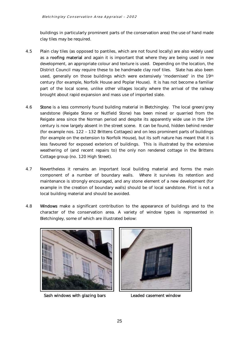buildings in particularly prominent parts of the conservation area) the use of hand made clay tiles may be required.

- 4.5 as a **roofing material** and again it is important that where they are being used in new District Council may require these to be handmade clay roof tiles. Slate has also been used, generally on those buildings which were extensively 'modernised' in the 19th century (for example, Norfolk House and Poplar House). It is has not become a familiar part of the local scene, unlike other villages locally where the arrival of the railway Plain clay tiles (as opposed to pantiles, which are not found locally) are also widely used development, an appropriate colour and texture is used. Depending on the location, the brought about rapid expansion and mass use of imported slate.
- 4.6 Stone is a less commonly found building material in Bletchingley. The local green/grey century is now largely absent in the street scene. It can be found, hidden behind render weathering of (and recent repairs to) the only non rendered cottage in the Brittens sandstone (Reigate Stone or Nutfield Stone) has been mined or quarried from the Reigate area since the Norman period and despite its apparently wide use in the 19th (for example nos. 122 – 132 Brittens Cottages) and on less prominent parts of buildings (for example on the extension to Norfolk House), but its soft nature has meant that it is less favoured for exposed exteriors of buildings. This is illustrated by the extensive Cottage group (no. 120 High Street).
- maintenance is strongly encouraged, and any stone element of a new development (for 4.7 Nevertheless it remains an important local building material and forms the main component of a number of boundary walls. Where it survives its retention and example in the creation of boundary walls) should be of local sandstone. Flint is not a local building material and should be avoided.
- 4.8 Windows make a significant contribution to the appearance of buildings and to the character of the conservation area. A variety of window types is represented in Bletchingley, some of which are illustrated below:



Sash windows with glazing bars Leaded casement window

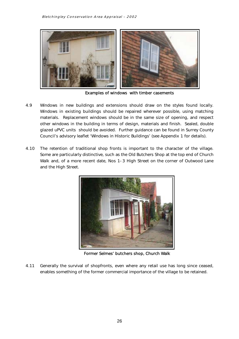

Examples of windows with timber casements

- 4.9 Windows in new buildings and extensions should draw on the styles found locally. Windows in existing buildings should be repaired wherever possible, using matching other windows in the building in terms of design, materials and finish. Sealed, double glazed uPVC units should be avoided. Further guidance can be found in Surrey County Council's advisory leaflet 'Windows in Historic Buildings' (see Appendix 1 for details). materials. Replacement windows should be in the same size of opening, and respect
- 4.10 Some are particularly distinctive, such as the Old Butchers Shop at the top end of Church Walk and, of a more recent date, Nos 1-3 High Street on the corner of Outwood Lane The retention of traditional shop fronts is important to the character of the village. and the High Street.



Former Selmes' butchers shop, Church Walk

4.11 Generally the survival of shopfronts, even where any retail use has long since ceased, enables something of the former commercial importance of the village to be retained.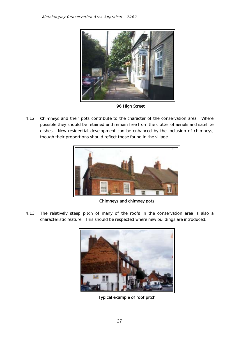

96 High Street

 possible they should be retained and remain free from the clutter of aerials and satellite dishes. New residential development can be enhanced by the inclusion of chimneys, 4.12 Chimneys and their pots contribute to the character of the conservation area. Where though their proportions should reflect those found in the village.



Chimneys and chimney pots

4.13 The relatively steep **pitch** of many of the roofs in the conservation area is also a characteristic feature. This should be respected where new buildings are introduced.



Typical example of roof pitch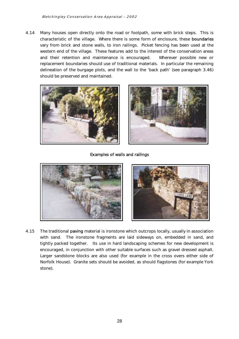4.14 Many houses open directly onto the road or footpath, some with brick steps. This is characteristic of the village. Where there is some form of enclosure, these boundaries characteristic of the village. Where there is some form of enclosure, these **boundaries**<br>vary from brick and stone walls, to iron railings. Picket fencing has been used at the western end of the village. These features add to the interest of the conservation areas and their retention and maintenance is encouraged. Wherever possible new or replacement boundaries should use of traditional materials. In particular the remaining delineation of the burgage plots, and the wall to the 'back path' (see paragraph 3.46) should be preserved and maintained.





Examples of walls and railings





 tightly packed together. Its use in hard landscaping schemes for new development is encouraged, in conjunction with other suitable surfaces such as gravel dressed asphalt. 4.15 The traditional paving material is ironstone which outcrops locally, usually in association with sand. The ironstone fragments are laid sideways on, embedded in sand, and Larger sandstone blocks are also used (for example in the cross overs either side of Norfolk House). Granite sets should be avoided, as should flagstones (for example York stone).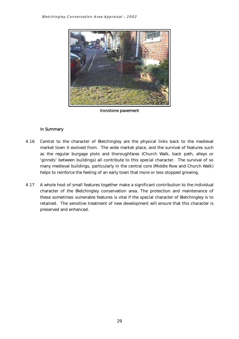

Ironstone pavement

#### In Summary

- many medieval buildings, particularly in the central core (Middle Row and Church Walk) 4.16 Central to the character of Bletchingley are the physical links back to the medieval market town it evolved from. The wide market place, and the survival of features such as the regular burgage plots and thoroughfares (Church Walk, back path, alleys or 'ginnels' between buildings) all contribute to this special character. The survival of so helps to reinforce the feeling of an early town that more or less stopped growing.
- 4.17 A whole host of small features together make a significant contribution to the individual retained. The sensitive treatment of new development will ensure that this character is character of the Bletchingley conservation area. The protection and maintenance of these sometimes vulnerable features is vital if the special character of Bletchingley is to preserved and enhanced.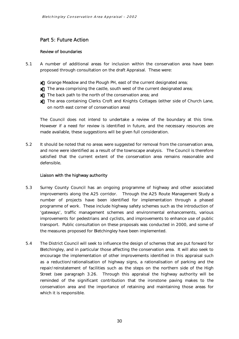#### <span id="page-31-0"></span>Part 5: Future Action

#### Review of boundaries

- 5.1 A number of additional areas for inclusion within the conservation area have been proposed through consultation on the draft Appraisal. These were:
	- $\pmb{\mathsf{x}}$  Grange Meadow and the Plough PH, east of the current designated area;
	- $\pmb{\mathsf{x}}$  . The area comprising the castle, south west of the current designated area;
	- $\pmb{\mathsf{x}}$  The back path to the north of the conservation area; and
	- $\pmb{\mathsf{x}}$  The area containing Clerks Croft and Knights Cottages (either side of Church Lane, on north east corner of conservation area)

 The Council does not intend to undertake a review of the boundary at this time. However if a need for review is identified in future, and the necessary resources are made available, these suggestions will be given full consideration.

 $52$ It should be noted that no areas were suggested for removal from the conservation area, and none were identified as a result of the townscape analysis. The Council is therefore satisfied that the current extent of the conservation area remains reasonable and defensible.

#### Liaison with the highway authority

- number of projects have been identified for implementation through a phased improvements for pedestrians and cyclists, and improvements to enhance use of public 5.3 Surrey County Council has an ongoing programme of highway and other associated improvements along the A25 corridor. Through the A25 Route Management Study a programme of work. These include highway safety schemes such as the introduction of 'gateways', traffic management schemes and environmental enhancements, various transport. Public consultation on these proposals was conducted in 2000, and some of the measures proposed for Bletchingley have been implemented.
- Bletchingley, and in particular those affecting the conservation area. It will also seek to as a reduction/rationalisation of highway signs, a rationalisation of parking and the repair/reinstatement of facilities such as the steps on the northern side of the High reminded of the significant contribution that the ironstone paving makes to the 5.4 The District Council will seek to influence the design of schemes that are put forward for encourage the implementation of other improvements identified in this appraisal such Street (see paragraph 3.26. Through this appraisal the highway authority will be conservation area and the importance of retaining and maintaining those areas for which it is responsible.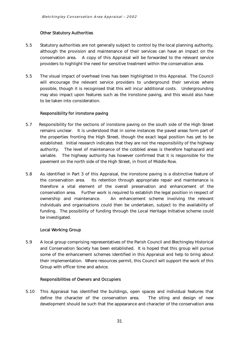#### Other Statutory Authorities

- conservation area. A copy of this Appraisal will be forwarded to the relevant service 5.5 Statutory authorities are not generally subject to control by the local planning authority, although the provision and maintenance of their services can have an impact on the providers to highlight the need for sensitive treatment within the conservation area.
- 5.5 The visual impact of overhead lines has been highlighted in this Appraisal. The Council will encourage the relevant service providers to underground their services where may also impact upon features such as the ironstone paving, and this would also have possible, though it is recognised that this will incur additional costs. Undergrounding to be taken into consideration.

#### Responsibility for ironstone paving

- $5.7$  remains unclear. It is understood that in some instances the paved areas form part of variable. Responsibility for the sections of ironstone paving on the south side of the High Street the properties fronting the High Street, though the exact legal position has yet to be established. Initial research indicates that they are not the responsibility of the highway authority. The level of maintenance of the cobbled areas is therefore haphazard and The highway authority has however confirmed that it is responsible for the pavement on the north side of the High Street, in front of Middle Row.
- the conservation area. Its retention through appropriate repair and maintenance is individuals and organisations could then be undertaken, subject to the availability of conservation area. Further work is required to establish the legal position in respect of 5.8 As identified in Part 3 of this Appraisal, the ironstone paving is a distinctive feature of therefore a vital element of the overall preservation and enhancement of the ownership and maintenance. An enhancement scheme involving the relevant funding. The possibility of funding through the Local Heritage Initiative scheme could be investigated.

#### Local Working Group

 5.9 A local group comprising representatives of the Parish Council and Blechingley Historical and Conservation Society has been established. It is hoped that this group will pursue some of the enhancement schemes identified in this Appraisal and help to bring about their implementation. Where resources permit, this Council will support the work of this Group with officer time and advice.

#### Responsibilities of Owners and Occupiers

 $5.10$  development should be such that the appearance and character of the conservation area This Appraisal has identified the buildings, open spaces and individual features that define the character of the conservation area. The siting and design of new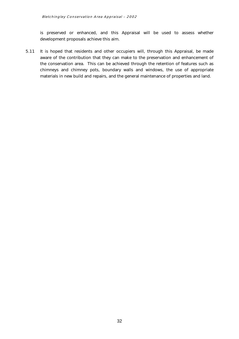is preserved or enhanced, and this Appraisal will be used to assess whether development proposals achieve this aim.

 aware of the contribution that they can make to the preservation and enhancement of the conservation area. This can be achieved through the retention of features such as chimneys and chimney pots, boundary walls and windows, the use of appropriate 5.11 It is hoped that residents and other occupiers will, through this Appraisal, be made materials in new build and repairs, and the general maintenance of properties and land.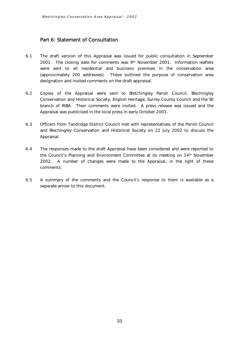#### <span id="page-34-0"></span>Part 6: Statement of Consultation

- 2001. The closing date for comments was 9th November 2001. Information leaflets designation and invited comments on the draft appraisal. 6.1 The draft version of this Appraisal was issued for public consultation in September were sent to all residential and business premises in the conservation area (approximately 200 addresses). These outlined the purpose of conservation area
- 6.2 Copies of the Appraisal were sent to Bletchingley Parish Council, Blechingley Conservation and Historical Society, English Heritage, Surrey County Council and the SE branch of RIBA. Their comments were invited. A press release was issued and the Appraisal was publicised in the local press in early October 2001.
- 6.3 Officers from Tandridge District Council met with representatives of the Parish Council and Blechingley Conservation and Historical Society on 22 July 2002 to discuss the Appraisal.
- Appraisal.<br>6.4 The responses made to the draft Appraisal have been considered and were reported to the Council's Planning and Environment Committee at its meeting on 14th November  $2002.$ 2002. A number of changes were made to the Appraisal, in the light of these comments.
- 6.5 A summary of the comments and the Council's response to them is available as a separate annex to this document.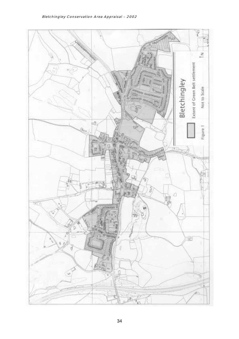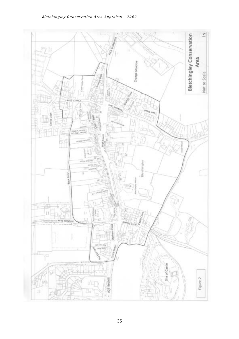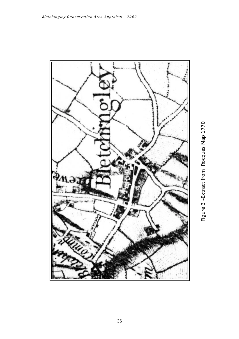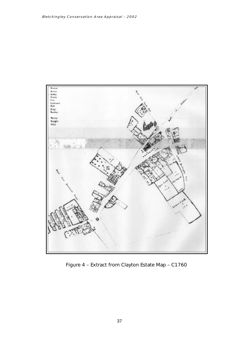

Figure 4 – Extract from Clayton Estate Map – C1760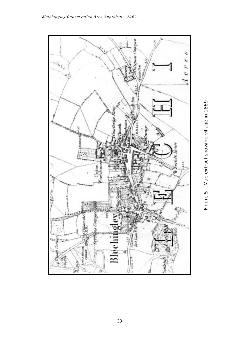